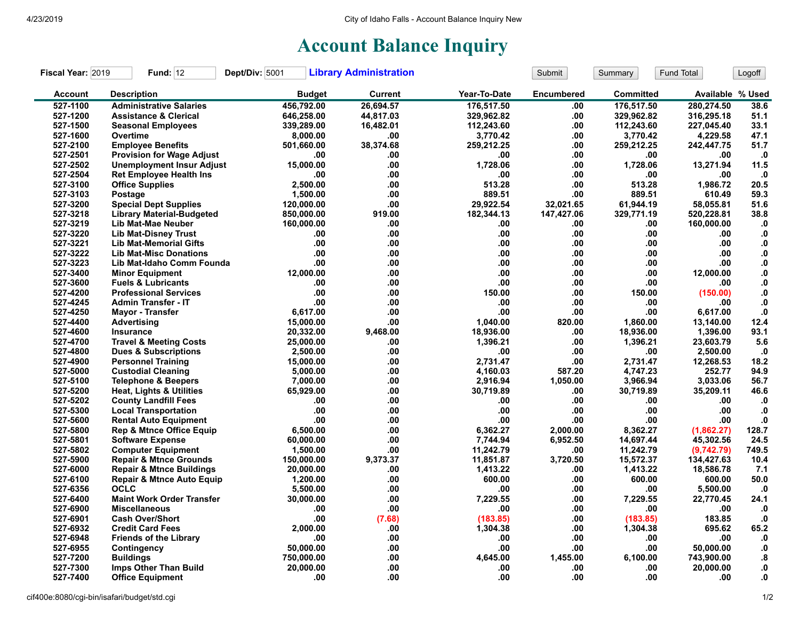## **Account Balance Inquiry**

| Fiscal Year: 2019 | <b>Fund: 12</b>                      | Dept/Div: 5001 | <b>Library Administration</b> |              | Submit            | Summary    | Fund Total       | Logoff        |
|-------------------|--------------------------------------|----------------|-------------------------------|--------------|-------------------|------------|------------------|---------------|
| <b>Account</b>    | <b>Description</b>                   | <b>Budget</b>  | <b>Current</b>                | Year-To-Date | <b>Encumbered</b> | Committed  | Available % Used |               |
| 527-1100          | <b>Administrative Salaries</b>       | 456,792.00     | 26.694.57                     | 176,517.50   | .00               | 176,517.50 | 280,274.50       | 38.6          |
| 527-1200          | <b>Assistance &amp; Clerical</b>     | 646,258.00     | 44,817.03                     | 329,962.82   | .00.              | 329,962.82 | 316,295.18       | 51.1          |
| 527-1500          | <b>Seasonal Employees</b>            | 339,289.00     | 16,482.01                     | 112,243.60   | .00               | 112,243.60 | 227.045.40       | 33.1          |
| 527-1600          | Overtime                             | 8,000.00       | .00                           | 3,770.42     | .00               | 3,770.42   | 4,229.58         | 47.1          |
| 527-2100          | <b>Employee Benefits</b>             | 501,660.00     | 38,374.68                     | 259,212.25   | .00               | 259,212.25 | 242,447.75       | 51.7          |
| 527-2501          | <b>Provision for Wage Adjust</b>     | .00            | .00                           | .00          | .00               | .00        | .00              | $\cdot$       |
| 527-2502          | <b>Unemployment Insur Adjust</b>     | 15.000.00      | .00                           | 1.728.06     | .00               | 1.728.06   | 13,271.94        | 11.5          |
| 527-2504          | <b>Ret Employee Health Ins</b>       | .00            | .00                           | .00          | .00               | .00        | .00              | $\cdot$ 0     |
| 527-3100          | <b>Office Supplies</b>               | 2,500.00       | .00                           | 513.28       | .00               | 513.28     | 1,986.72         | 20.5          |
| 527-3103          | Postage                              | 1,500.00       | .00                           | 889.51       | .00               | 889.51     | 610.49           | 59.3          |
| 527-3200          | <b>Special Dept Supplies</b>         | 120,000.00     | .00.                          | 29,922.54    | 32.021.65         | 61,944.19  | 58,055.81        | 51.6          |
| 527-3218          | <b>Library Material-Budgeted</b>     | 850,000.00     | 919.00                        | 182,344.13   | 147,427.06        | 329,771.19 | 520,228.81       | 38.8          |
| 527-3219          | Lib Mat-Mae Neuber                   | 160,000.00     | .00                           | .00          | .00               | .00        | 160,000.00       | $\mathbf{.0}$ |
| 527-3220          | <b>Lib Mat-Disney Trust</b>          | .00            | .00                           | .00.         | .00               | .00        | .00              | $\mathbf{0}$  |
| 527-3221          | <b>Lib Mat-Memorial Gifts</b>        | .00            | .00                           | .00.         | .00               | .00        | .00              | ${\bf .0}$    |
| 527-3222          | <b>Lib Mat-Misc Donations</b>        | .00            | .00                           | .00          | .00               | .00        | .00.             | $\mathbf{0}$  |
| 527-3223          | Lib Mat-Idaho Comm Founda            | .00            | .00                           | .00          | .00               | .00        | .00              | ${\bf 0}.$    |
| 527-3400          | <b>Minor Equipment</b>               | 12,000.00      | .00                           | .00.         | .00               | .00        | 12,000.00        | $\mathbf{0}$  |
| 527-3600          | <b>Fuels &amp; Lubricants</b>        | .00            | .00                           | .00          | .00               | .00        | .00              | $\mathbf{0}$  |
| 527-4200          | <b>Professional Services</b>         | .00            | .00                           | 150.00       | .00               | 150.00     | (150.00)         | ${\bf .0}$    |
| 527-4245          | <b>Admin Transfer - IT</b>           | .00            | .00                           | .00          | .00               | .00        | .00              | ${\bf .0}$    |
| 527-4250          | <b>Mayor - Transfer</b>              | 6,617.00       | .00                           | .00          | .00               | .00        | 6,617.00         | $\mathbf{0}$  |
| 527-4400          | Advertising                          | 15,000.00      | .00.                          | 1.040.00     | 820.00            | 1.860.00   | 13,140.00        | 12.4          |
| 527-4600          | Insurance                            | 20,332.00      | 9,468.00                      | 18,936.00    | .00               | 18,936.00  | 1,396.00         | 93.1          |
| 527-4700          | <b>Travel &amp; Meeting Costs</b>    | 25,000.00      | .00                           | 1,396.21     | .00               | 1,396.21   | 23,603.79        | 5.6           |
| 527-4800          | <b>Dues &amp; Subscriptions</b>      | 2,500.00       | .00                           | .00          | .00               | .00        | 2,500.00         | $\cdot$ 0     |
| 527-4900          | <b>Personnel Training</b>            | 15,000.00      | .00                           | 2,731.47     | .00               | 2,731.47   | 12,268.53        | 18.2          |
| 527-5000          | <b>Custodial Cleaning</b>            | 5,000.00       | .00                           | 4.160.03     | 587.20            | 4,747.23   | 252.77           | 94.9          |
| 527-5100          | <b>Telephone &amp; Beepers</b>       | 7,000.00       | .00                           | 2,916.94     | 1,050.00          | 3,966.94   | 3,033.06         | 56.7          |
| 527-5200          | <b>Heat, Lights &amp; Utilities</b>  | 65,929.00      | .00                           | 30,719.89    | .00               | 30,719.89  | 35,209.11        | 46.6          |
| 527-5202          | <b>County Landfill Fees</b>          | .00            | .00                           | .00          | .00               | .00        | .00              | $\cdot$       |
| 527-5300          | <b>Local Transportation</b>          | .00            | .00                           | .00          | .00               | .00        | .00.             | $\mathbf{0}$  |
| 527-5600          | <b>Rental Auto Equipment</b>         | .00            | .00                           | .00          | .00               | .00        | .00              | ${\bf .0}$    |
| 527-5800          | <b>Rep &amp; Mtnce Office Equip</b>  | 6,500.00       | .00                           | 6,362.27     | 2,000.00          | 8,362.27   | (1,862.27)       | 128.7         |
| 527-5801          | <b>Software Expense</b>              | 60,000.00      | .00                           | 7.744.94     | 6,952.50          | 14,697.44  | 45,302.56        | 24.5          |
| 527-5802          | <b>Computer Equipment</b>            | 1,500.00       | .00                           | 11,242.79    | .00               | 11,242.79  | (9,742.79)       | 749.5         |
| 527-5900          | <b>Repair &amp; Mtnce Grounds</b>    | 150,000.00     | 9,373.37                      | 11,851.87    | 3,720.50          | 15,572.37  | 134,427.63       | 10.4          |
| 527-6000          | <b>Repair &amp; Mtnce Buildings</b>  | 20,000.00      | .00                           | 1,413.22     | .00               | 1,413.22   | 18,586.78        | 7.1           |
| 527-6100          | <b>Repair &amp; Mtnce Auto Equip</b> | 1,200.00       | .00                           | 600.00       | .00               | 600.00     | 600.00           | 50.0          |
| 527-6356          | <b>OCLC</b>                          | 5,500.00       | .00                           | .00          | .00               | .00        | 5,500.00         | $\cdot$       |
| 527-6400          | <b>Maint Work Order Transfer</b>     | 30,000.00      | .00                           | 7,229.55     | .00               | 7,229.55   | 22,770.45        | 24.1          |
| 527-6900          | <b>Miscellaneous</b>                 | .00            | .00                           | .00          | .00               | .00        | .00              | $\mathbf{.0}$ |
| 527-6901          | <b>Cash Over/Short</b>               | .00            | (7.68)                        | (183.85)     | .00               | (183.85)   | 183.85           | $\mathbf{0}$  |
| 527-6932          | <b>Credit Card Fees</b>              | 2.000.00       | .00                           | 1,304.38     | .00               | 1,304.38   | 695.62           | 65.2          |
| 527-6948          | <b>Friends of the Library</b>        | .00            | .00                           | .00          | .00               | .00        | .00              | $\mathbf{.0}$ |
| 527-6955          | Contingency                          | 50,000.00      | .00                           | .00          | .00               | .00        | 50,000.00        | $\mathbf{0}$  |
| 527-7200          | <b>Buildings</b>                     | 750,000.00     | .00                           | 4,645.00     | 1,455.00          | 6,100.00   | 743,900.00       | .8            |
| 527-7300          | Imps Other Than Build                | 20,000.00      | .00                           | .00          | .00               | .00        | 20,000.00        | 0.            |
| 527-7400          | <b>Office Equipment</b>              | .00            | .00                           | .00.         | .00               | .00        | .00              | 0.            |